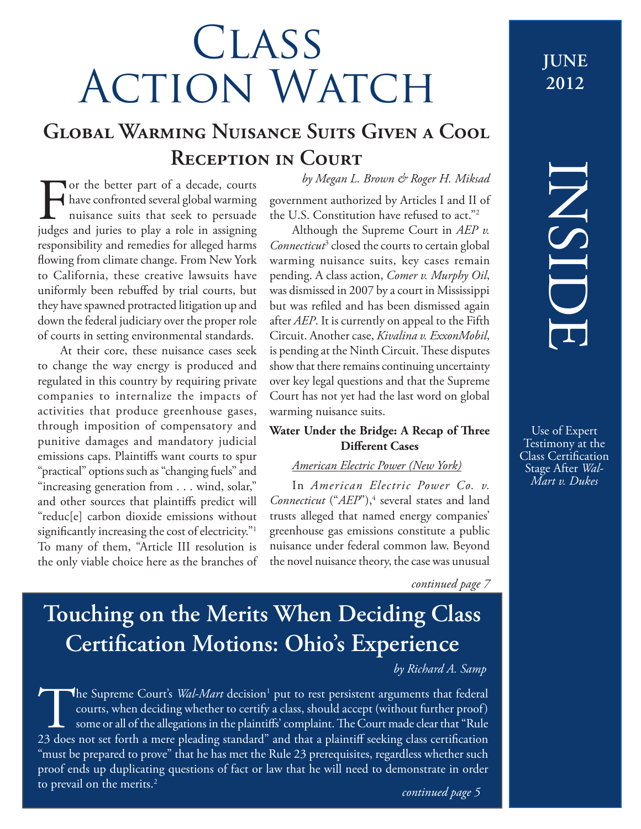# **CLASS** ACTION WATCH <sup>JUNE</sup>

# **Global Warming Nuisance Suits Given a Cool Reception in Court**

For the better part of a decade, courts<br>have confronted several global warming<br>nuisance suits that seek to persuade<br>judges and juries to play a role in assigning have confronted several global warming nuisance suits that seek to persuade

judges and juries to play a role in assigning responsibility and remedies for alleged harms flowing from climate change. From New York to California, these creative lawsuits have uniformly been rebuffed by trial courts, but they have spawned protracted litigation up and down the federal judiciary over the proper role of courts in setting environmental standards. At their core, these nuisance cases seek to change the way energy is produced and regulated in this country by requiring private companies to internalize the impacts of activities that produce greenhouse gases, through imposition of compensatory and punitive damages and mandatory judicial emissions caps. Plaintiffs want courts to spur "practical" options such as "changing fuels" and "increasing generation from . . . wind, solar," and other sources that plaintiffs predict will "reduc[e] carbon dioxide emissions without significantly increasing the cost of electricity."<sup>1</sup> To many of them, "Article III resolution is the only viable choice here as the branches of *by Megan L. Brown & Roger H. Miksad*

government authorized by Articles I and II of the U.S. Constitution have refused to act."2

Although the Supreme Court in *AEP v. Connecticut*<sup>3</sup> closed the courts to certain global warming nuisance suits, key cases remain pending. A class action, *Comer v. Murphy Oil*, was dismissed in 2007 by a court in Mississippi but was refiled and has been dismissed again after *AEP*. It is currently on appeal to the Fifth Circuit. Another case, *Kivalina v. ExxonMobil*, is pending at the Ninth Circuit. These disputes show that there remains continuing uncertainty over key legal questions and that the Supreme Court has not yet had the last word on global warming nuisance suits.

### **Water Under the Bridge: A Recap of Three Different Cases**

### *American Electric Power (New York)*

In *American Electric Power Co. v. Connecticut* ("*AEP*"),<sup>4</sup> several states and land trusts alleged that named energy companies' greenhouse gas emissions constitute a public nuisance under federal common law. Beyond the novel nuisance theory, the case was unusual

*continued page 7*

# **Touching on the Merits When Deciding Class Certification Motions: Ohio's Experience**

### *by Richard A. Samp*

The Supreme Court's *Wal-Mart* decision<sup>1</sup><br>courts, when deciding whether to certify<br>some or all of the allegations in the plaintif<br>23 does not set forth a mere pleading standard" The Supreme Court's *Wal-Mart* decision<sup>1</sup> put to rest persistent arguments that federal courts, when deciding whether to certify a class, should accept (without further proof) some or all of the allegations in the plaintiffs' complaint. The Court made clear that "Rule 23 does not set forth a mere pleading standard" and that a plaintiff seeking class certification "must be prepared to prove" that he has met the Rule 23 prerequisites, regardless whether such proof ends up duplicating questions of fact or law that he will need to demonstrate in order to prevail on the merits.<sup>2</sup>

# **2012**

# INSIDE

Use of Expert Testimony at the Class Certification Stage After *Wal-Mart v. Dukes*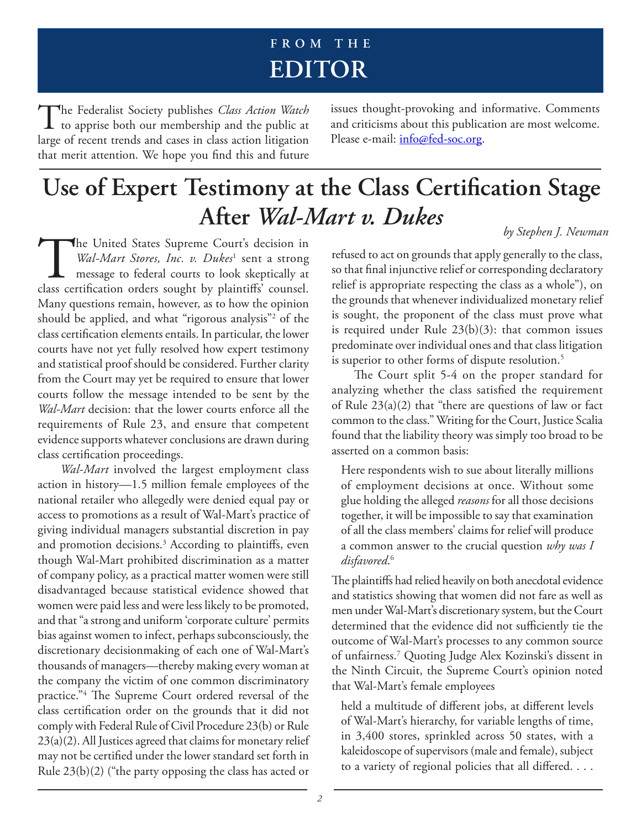# **F R O M T H E editor**

The Federalist Society publishes *Class Action Watch*<br>to apprise both our membership and the public at large of recent trends and cases in class action litigation that merit attention. We hope you find this and future

issues thought-provoking and informative. Comments and criticisms about this publication are most welcome. Please e-mail: info@fed-soc.org.

## **Use of Expert Testimony at the Class Certification Stage After** *Wal-Mart v. Dukes by Stephen J. Newman*

The United States Supreme Court's decision in *Wal-Mart Stores, Inc. v. Dukes*<sup>1</sup> sent a strong message to federal courts to look skeptically at class certification orders sought by plaintiffs' counsel. Wal-Mart Stores, Inc. v. Dukes<sup>1</sup> sent a strong message to federal courts to look skeptically at Many questions remain, however, as to how the opinion should be applied, and what "rigorous analysis"2 of the class certification elements entails. In particular, the lower courts have not yet fully resolved how expert testimony and statistical proof should be considered. Further clarity from the Court may yet be required to ensure that lower courts follow the message intended to be sent by the *Wal-Mart* decision: that the lower courts enforce all the requirements of Rule 23, and ensure that competent evidence supports whatever conclusions are drawn during class certification proceedings.

*Wal-Mart* involved the largest employment class action in history—1.5 million female employees of the national retailer who allegedly were denied equal pay or access to promotions as a result of Wal-Mart's practice of giving individual managers substantial discretion in pay and promotion decisions.3 According to plaintiffs, even though Wal-Mart prohibited discrimination as a matter of company policy, as a practical matter women were still disadvantaged because statistical evidence showed that women were paid less and were less likely to be promoted, and that "a strong and uniform 'corporate culture' permits bias against women to infect, perhaps subconsciously, the discretionary decisionmaking of each one of Wal-Mart's thousands of managers—thereby making every woman at the company the victim of one common discriminatory practice."4 The Supreme Court ordered reversal of the class certification order on the grounds that it did not comply with Federal Rule of Civil Procedure 23(b) or Rule 23(a)(2). All Justices agreed that claims for monetary relief may not be certified under the lower standard set forth in Rule 23(b)(2) ("the party opposing the class has acted or

refused to act on grounds that apply generally to the class, so that final injunctive relief or corresponding declaratory relief is appropriate respecting the class as a whole"), on the grounds that whenever individualized monetary relief is sought, the proponent of the class must prove what is required under Rule 23(b)(3): that common issues predominate over individual ones and that class litigation

is superior to other forms of dispute resolution.<sup>5</sup> The Court split 5-4 on the proper standard for analyzing whether the class satisfied the requirement of Rule  $23(a)(2)$  that "there are questions of law or fact common to the class." Writing for the Court, Justice Scalia found that the liability theory was simply too broad to be asserted on a common basis:

Here respondents wish to sue about literally millions of employment decisions at once. Without some glue holding the alleged *reasons* for all those decisions together, it will be impossible to say that examination of all the class members' claims for relief will produce a common answer to the crucial question *why was I disfavored*. 6

The plaintiffs had relied heavily on both anecdotal evidence and statistics showing that women did not fare as well as men under Wal-Mart's discretionary system, but the Court determined that the evidence did not sufficiently tie the outcome of Wal-Mart's processes to any common source of unfairness.7 Quoting Judge Alex Kozinski's dissent in the Ninth Circuit, the Supreme Court's opinion noted that Wal-Mart's female employees

held a multitude of different jobs, at different levels of Wal-Mart's hierarchy, for variable lengths of time, in 3,400 stores, sprinkled across 50 states, with a kaleidoscope of supervisors (male and female), subject to a variety of regional policies that all differed. . . .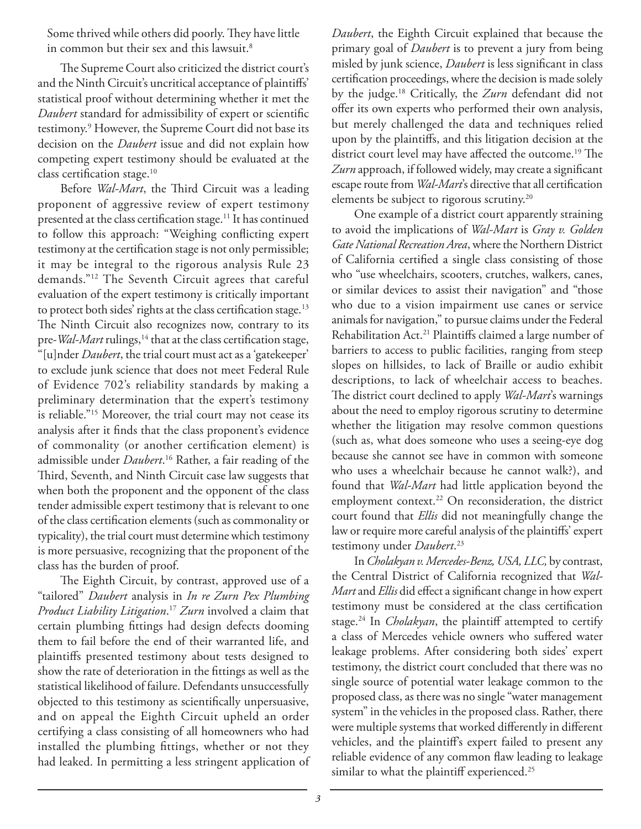Some thrived while others did poorly. They have little in common but their sex and this lawsuit.<sup>8</sup>

The Supreme Court also criticized the district court's and the Ninth Circuit's uncritical acceptance of plaintiffs' statistical proof without determining whether it met the *Daubert* standard for admissibility of expert or scientific testimony.9 However, the Supreme Court did not base its decision on the *Daubert* issue and did not explain how competing expert testimony should be evaluated at the class certification stage.<sup>10</sup>

Before *Wal-Mart*, the Third Circuit was a leading proponent of aggressive review of expert testimony presented at the class certification stage.<sup>11</sup> It has continued to follow this approach: "Weighing conflicting expert testimony at the certification stage is not only permissible; it may be integral to the rigorous analysis Rule 23 demands."12 The Seventh Circuit agrees that careful evaluation of the expert testimony is critically important to protect both sides' rights at the class certification stage.<sup>13</sup> The Ninth Circuit also recognizes now, contrary to its pre-*Wal-Mart* rulings,<sup>14</sup> that at the class certification stage, "[u]nder *Daubert*, the trial court must act as a 'gatekeeper' to exclude junk science that does not meet Federal Rule of Evidence 702's reliability standards by making a preliminary determination that the expert's testimony is reliable."15 Moreover, the trial court may not cease its analysis after it finds that the class proponent's evidence of commonality (or another certification element) is admissible under *Daubert*. 16 Rather, a fair reading of the Third, Seventh, and Ninth Circuit case law suggests that when both the proponent and the opponent of the class tender admissible expert testimony that is relevant to one of the class certification elements (such as commonality or typicality), the trial court must determine which testimony is more persuasive, recognizing that the proponent of the class has the burden of proof.

The Eighth Circuit, by contrast, approved use of a "tailored" *Daubert* analysis in *In re Zurn Pex Plumbing Product Liability Litigation*. <sup>17</sup> *Zurn* involved a claim that certain plumbing fittings had design defects dooming them to fail before the end of their warranted life, and plaintiffs presented testimony about tests designed to show the rate of deterioration in the fittings as well as the statistical likelihood of failure. Defendants unsuccessfully objected to this testimony as scientifically unpersuasive, and on appeal the Eighth Circuit upheld an order certifying a class consisting of all homeowners who had installed the plumbing fittings, whether or not they had leaked. In permitting a less stringent application of

*Daubert*, the Eighth Circuit explained that because the primary goal of *Daubert* is to prevent a jury from being misled by junk science, *Daubert* is less significant in class certification proceedings, where the decision is made solely by the judge.18 Critically, the *Zurn* defendant did not offer its own experts who performed their own analysis, but merely challenged the data and techniques relied upon by the plaintiffs, and this litigation decision at the district court level may have affected the outcome.<sup>19</sup> The *Zurn* approach, if followed widely, may create a significant escape route from *Wal-Mart*'s directive that all certification elements be subject to rigorous scrutiny.<sup>20</sup>

One example of a district court apparently straining to avoid the implications of *Wal-Mart* is *Gray v. Golden Gate National Recreation Area*, where the Northern District of California certified a single class consisting of those who "use wheelchairs, scooters, crutches, walkers, canes, or similar devices to assist their navigation" and "those who due to a vision impairment use canes or service animals for navigation," to pursue claims under the Federal Rehabilitation Act.21 Plaintiffs claimed a large number of barriers to access to public facilities, ranging from steep slopes on hillsides, to lack of Braille or audio exhibit descriptions, to lack of wheelchair access to beaches. The district court declined to apply *Wal-Mart*'s warnings about the need to employ rigorous scrutiny to determine whether the litigation may resolve common questions (such as, what does someone who uses a seeing-eye dog because she cannot see have in common with someone who uses a wheelchair because he cannot walk?), and found that *Wal-Mart* had little application beyond the employment context.<sup>22</sup> On reconsideration, the district court found that *Ellis* did not meaningfully change the law or require more careful analysis of the plaintiffs' expert testimony under *Daubert*. 23

In *Cholakyan v. Mercedes-Benz, USA, LLC,* by contrast, the Central District of California recognized that *Wal-Mart* and *Ellis* did effect a significant change in how expert testimony must be considered at the class certification stage.24 In *Cholakyan*, the plaintiff attempted to certify a class of Mercedes vehicle owners who suffered water leakage problems. After considering both sides' expert testimony, the district court concluded that there was no single source of potential water leakage common to the proposed class, as there was no single "water management system" in the vehicles in the proposed class. Rather, there were multiple systems that worked differently in different vehicles, and the plaintiff's expert failed to present any reliable evidence of any common flaw leading to leakage similar to what the plaintiff experienced.<sup>25</sup>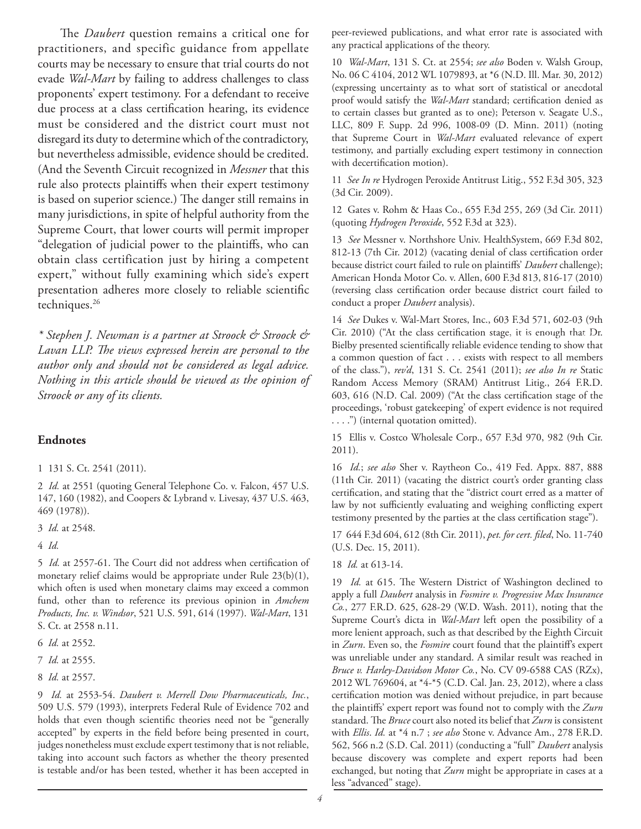The *Daubert* question remains a critical one for practitioners, and specific guidance from appellate courts may be necessary to ensure that trial courts do not evade *Wal-Mart* by failing to address challenges to class proponents' expert testimony. For a defendant to receive due process at a class certification hearing, its evidence must be considered and the district court must not disregard its duty to determine which of the contradictory, but nevertheless admissible, evidence should be credited. (And the Seventh Circuit recognized in *Messner* that this rule also protects plaintiffs when their expert testimony is based on superior science.) The danger still remains in many jurisdictions, in spite of helpful authority from the Supreme Court, that lower courts will permit improper "delegation of judicial power to the plaintiffs, who can obtain class certification just by hiring a competent expert," without fully examining which side's expert presentation adheres more closely to reliable scientific techniques.<sup>26</sup>

*\* Stephen J. Newman is a partner at Stroock & Stroock & Lavan LLP. The views expressed herein are personal to the author only and should not be considered as legal advice. Nothing in this article should be viewed as the opinion of Stroock or any of its clients.*

### **Endnotes**

### 1 131 S. Ct. 2541 (2011).

2 *Id.* at 2551 (quoting General Telephone Co. v. Falcon, 457 U.S. 147, 160 (1982), and Coopers & Lybrand v. Livesay, 437 U.S. 463, 469 (1978)).

3 *Id.* at 2548.

4 *Id.*

5 *Id.* at 2557-61. The Court did not address when certification of monetary relief claims would be appropriate under Rule 23(b)(1), which often is used when monetary claims may exceed a common fund, other than to reference its previous opinion in *Amchem Products, Inc. v. Windsor*, 521 U.S. 591, 614 (1997). *Wal-Mart*, 131 S. Ct. at 2558 n.11.

6 *Id.* at 2552.

7 *Id.* at 2555.

8 *Id.* at 2557.

9 *Id.* at 2553-54. *Daubert v. Merrell Dow Pharmaceuticals, Inc.*, 509 U.S. 579 (1993), interprets Federal Rule of Evidence 702 and holds that even though scientific theories need not be "generally accepted" by experts in the field before being presented in court, judges nonetheless must exclude expert testimony that is not reliable, taking into account such factors as whether the theory presented is testable and/or has been tested, whether it has been accepted in

peer-reviewed publications, and what error rate is associated with any practical applications of the theory.

10 *Wal-Mart*, 131 S. Ct. at 2554; *see also* Boden v. Walsh Group, No. 06 C 4104, 2012 WL 1079893, at \*6 (N.D. Ill. Mar. 30, 2012) (expressing uncertainty as to what sort of statistical or anecdotal proof would satisfy the *Wal-Mart* standard; certification denied as to certain classes but granted as to one); Peterson v. Seagate U.S., LLC, 809 F. Supp. 2d 996, 1008-09 (D. Minn. 2011) (noting that Supreme Court in *Wal-Mart* evaluated relevance of expert testimony, and partially excluding expert testimony in connection with decertification motion).

11 *See In re* Hydrogen Peroxide Antitrust Litig., 552 F.3d 305, 323 (3d Cir. 2009).

12 Gates v. Rohm & Haas Co., 655 F.3d 255, 269 (3d Cir. 2011) (quoting *Hydrogen Peroxide*, 552 F.3d at 323).

13 *See* Messner v. Northshore Univ. HealthSystem, 669 F.3d 802, 812-13 (7th Cir. 2012) (vacating denial of class certification order because district court failed to rule on plaintiffs' *Daubert* challenge); American Honda Motor Co. v. Allen, 600 F.3d 813, 816-17 (2010) (reversing class certification order because district court failed to conduct a proper *Daubert* analysis).

14 *See* Dukes v. Wal-Mart Stores, Inc., 603 F.3d 571, 602-03 (9th Cir. 2010) ("At the class certification stage, it is enough that Dr.<br>Pulled page 100 page 100 page 100 page 100 page 100 page 100 page 100 page 100 page 100 page 100 page 100 page Bielby presented scientifically reliable evidence tending to show that a common question of fact . . . exists with respect to all members of the class."), *rev'd*, 131 S. Ct. 2541 (2011); *see also In re* Static Random Access Memory (SRAM) Antitrust Litig., 264 F.R.D. 603, 616 (N.D. Cal. 2009) ("At the class certification stage of the proceedings, 'robust gatekeeping' of expert evidence is not required . . . .") (internal quotation omitted).

15 Ellis v. Costco Wholesale Corp., 657 F.3d 970, 982 (9th Cir. 2011).

16 *Id.*; *see also* Sher v. Raytheon Co., 419 Fed. Appx. 887, 888 (11th Cir. 2011) (vacating the district court's order granting class certification, and stating that the "district court erred as a matter of law by not sufficiently evaluating and weighing conflicting expert testimony presented by the parties at the class certification stage").

17 644 F.3d 604, 612 (8th Cir. 2011), *pet. for cert. filed*, No. 11-740 (U.S. Dec. 15, 2011).

18 *Id.* at 613-14.

19 *Id.* at 615. The Western District of Washington declined to apply a full *Daubert* analysis in *Fosmire v. Progressive Max Insurance Co.*, 277 F.R.D. 625, 628-29 (W.D. Wash. 2011), noting that the Supreme Court's dicta in *Wal-Mart* left open the possibility of a more lenient approach, such as that described by the Eighth Circuit in *Zurn*. Even so, the *Fosmire* court found that the plaintiff's expert was unreliable under any standard. A similar result was reached in *Bruce v. Harley-Davidson Motor Co.*, No. CV 09-6588 CAS (RZx), 2012 WL 769604, at \*4-\*5 (C.D. Cal. Jan. 23, 2012), where a class certification motion was denied without prejudice, in part because the plaintiffs' expert report was found not to comply with the *Zurn* standard. The *Bruce* court also noted its belief that *Zurn* is consistent with *Ellis*. *Id.* at \*4 n.7 ; *see also* Stone v. Advance Am., 278 F.R.D. 562, 566 n.2 (S.D. Cal. 2011) (conducting a "full" *Daubert* analysis because discovery was complete and expert reports had been exchanged, but noting that *Zurn* might be appropriate in cases at a less "advanced" stage).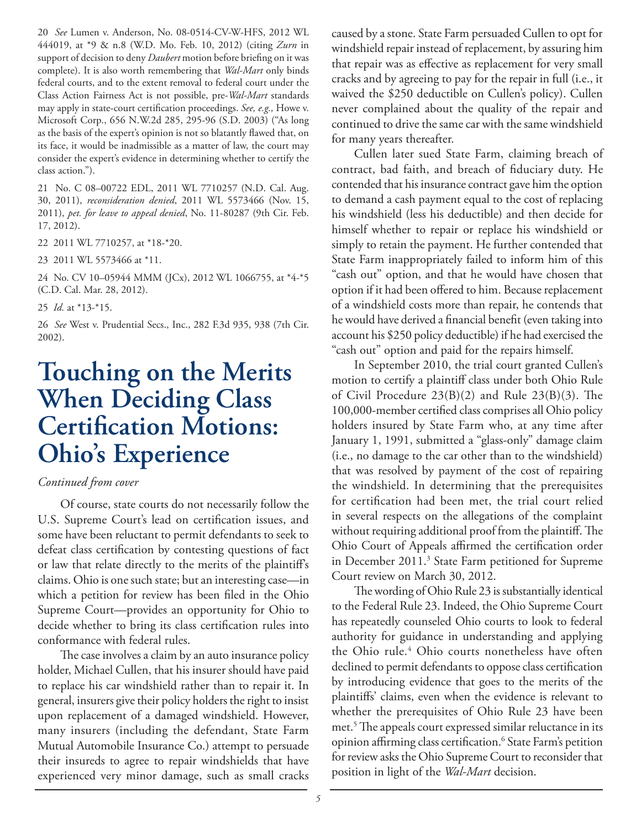20 *See* Lumen v. Anderson, No. 08-0514-CV-W-HFS, 2012 WL 444019, at \*9 & n.8 (W.D. Mo. Feb. 10, 2012) (citing *Zurn* in support of decision to deny *Daubert* motion before briefing on it was complete). It is also worth remembering that *Wal-Mart* only binds federal courts, and to the extent removal to federal court under the Class Action Fairness Act is not possible, pre-*Wal-Mart* standards may apply in state-court certification proceedings. *See, e.g.,* Howe v. Microsoft Corp., 656 N.W.2d 285, 295-96 (S.D. 2003) ("As long as the basis of the expert's opinion is not so blatantly flawed that, on its face, it would be inadmissible as a matter of law, the court may consider the expert's evidence in determining whether to certify the class action.").

21 No. C 08–00722 EDL, 2011 WL 7710257 (N.D. Cal. Aug. 30, 2011), *reconsideration denied*, 2011 WL 5573466 (Nov. 15, 2011), *pet. for leave to appeal denied*, No. 11-80287 (9th Cir. Feb. 17, 2012).

22 2011 WL 7710257, at \*18-\*20.

23 2011 WL 5573466 at \*11.

24 No. CV 10–05944 MMM (JCx), 2012 WL 1066755, at \*4-\*5 (C.D. Cal. Mar. 28, 2012).

25 *Id.* at \*13-\*15.

26 *See* West v. Prudential Secs., Inc., 282 F.3d 935, 938 (7th Cir. 2002).

# **Touching on the Merits When Deciding Class Certification Motions: Ohio's Experience**

### *Continued from cover*

Of course, state courts do not necessarily follow the U.S. Supreme Court's lead on certification issues, and some have been reluctant to permit defendants to seek to defeat class certification by contesting questions of fact or law that relate directly to the merits of the plaintiff's claims. Ohio is one such state; but an interesting case—in which a petition for review has been filed in the Ohio Supreme Court—provides an opportunity for Ohio to decide whether to bring its class certification rules into conformance with federal rules.

The case involves a claim by an auto insurance policy holder, Michael Cullen, that his insurer should have paid to replace his car windshield rather than to repair it. In general, insurers give their policy holders the right to insist upon replacement of a damaged windshield. However, many insurers (including the defendant, State Farm Mutual Automobile Insurance Co.) attempt to persuade their insureds to agree to repair windshields that have experienced very minor damage, such as small cracks caused by a stone. State Farm persuaded Cullen to opt for windshield repair instead of replacement, by assuring him that repair was as effective as replacement for very small cracks and by agreeing to pay for the repair in full (i.e., it waived the \$250 deductible on Cullen's policy). Cullen never complained about the quality of the repair and continued to drive the same car with the same windshield for many years thereafter.

Cullen later sued State Farm, claiming breach of contract, bad faith, and breach of fiduciary duty. He contended that his insurance contract gave him the option to demand a cash payment equal to the cost of replacing his windshield (less his deductible) and then decide for himself whether to repair or replace his windshield or simply to retain the payment. He further contended that State Farm inappropriately failed to inform him of this "cash out" option, and that he would have chosen that option if it had been offered to him. Because replacement of a windshield costs more than repair, he contends that he would have derived a financial benefit (even taking into account his \$250 policy deductible) if he had exercised the "cash out" option and paid for the repairs himself.

In September 2010, the trial court granted Cullen's motion to certify a plaintiff class under both Ohio Rule of Civil Procedure 23(B)(2) and Rule 23(B)(3). The 100,000-member certified class comprises all Ohio policy holders insured by State Farm who, at any time after January 1, 1991, submitted a "glass-only" damage claim (i.e., no damage to the car other than to the windshield) that was resolved by payment of the cost of repairing the windshield. In determining that the prerequisites for certification had been met, the trial court relied in several respects on the allegations of the complaint without requiring additional proof from the plaintiff. The Ohio Court of Appeals affirmed the certification order in December 2011.3 State Farm petitioned for Supreme Court review on March 30, 2012.

The wording of Ohio Rule 23 is substantially identical to the Federal Rule 23. Indeed, the Ohio Supreme Court has repeatedly counseled Ohio courts to look to federal authority for guidance in understanding and applying the Ohio rule.<sup>4</sup> Ohio courts nonetheless have often declined to permit defendants to oppose class certification by introducing evidence that goes to the merits of the plaintiffs' claims, even when the evidence is relevant to whether the prerequisites of Ohio Rule 23 have been met.5 The appeals court expressed similar reluctance in its opinion affirming class certification.<sup>6</sup> State Farm's petition for review asks the Ohio Supreme Court to reconsider that position in light of the *Wal-Mart* decision.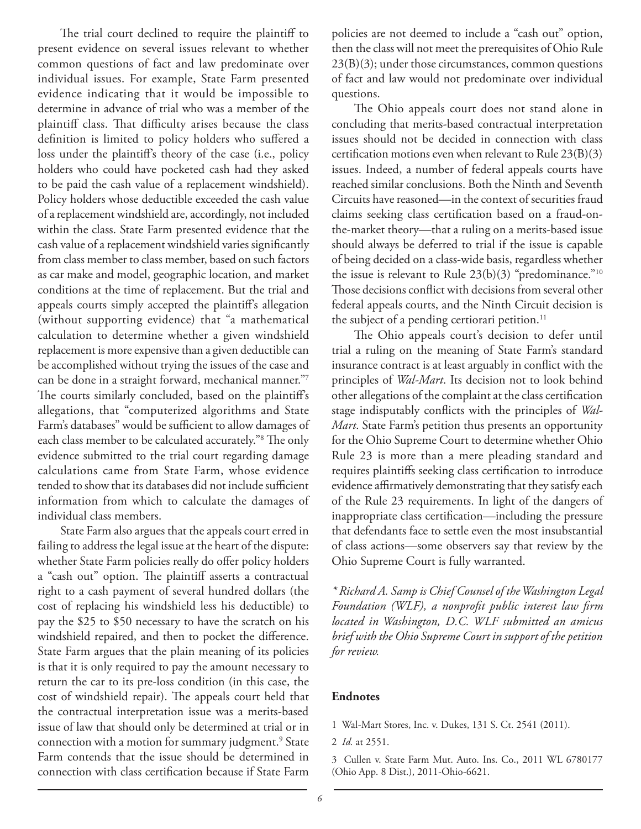The trial court declined to require the plaintiff to present evidence on several issues relevant to whether common questions of fact and law predominate over individual issues. For example, State Farm presented evidence indicating that it would be impossible to determine in advance of trial who was a member of the plaintiff class. That difficulty arises because the class definition is limited to policy holders who suffered a loss under the plaintiff's theory of the case (i.e., policy holders who could have pocketed cash had they asked to be paid the cash value of a replacement windshield). Policy holders whose deductible exceeded the cash value of a replacement windshield are, accordingly, not included within the class. State Farm presented evidence that the cash value of a replacement windshield varies significantly from class member to class member, based on such factors as car make and model, geographic location, and market conditions at the time of replacement. But the trial and appeals courts simply accepted the plaintiff's allegation (without supporting evidence) that "a mathematical calculation to determine whether a given windshield replacement is more expensive than a given deductible can be accomplished without trying the issues of the case and can be done in a straight forward, mechanical manner."7 The courts similarly concluded, based on the plaintiff's allegations, that "computerized algorithms and State Farm's databases" would be sufficient to allow damages of each class member to be calculated accurately."8 The only evidence submitted to the trial court regarding damage calculations came from State Farm, whose evidence tended to show that its databases did not include sufficient information from which to calculate the damages of individual class members.

State Farm also argues that the appeals court erred in failing to address the legal issue at the heart of the dispute: whether State Farm policies really do offer policy holders a "cash out" option. The plaintiff asserts a contractual right to a cash payment of several hundred dollars (the cost of replacing his windshield less his deductible) to pay the \$25 to \$50 necessary to have the scratch on his windshield repaired, and then to pocket the difference. State Farm argues that the plain meaning of its policies is that it is only required to pay the amount necessary to return the car to its pre-loss condition (in this case, the cost of windshield repair). The appeals court held that the contractual interpretation issue was a merits-based issue of law that should only be determined at trial or in connection with a motion for summary judgment.<sup>9</sup> State Farm contends that the issue should be determined in connection with class certification because if State Farm

policies are not deemed to include a "cash out" option, then the class will not meet the prerequisites of Ohio Rule 23(B)(3); under those circumstances, common questions of fact and law would not predominate over individual questions.

The Ohio appeals court does not stand alone in concluding that merits-based contractual interpretation issues should not be decided in connection with class certification motions even when relevant to Rule 23(B)(3) issues. Indeed, a number of federal appeals courts have reached similar conclusions. Both the Ninth and Seventh Circuits have reasoned—in the context of securities fraud claims seeking class certification based on a fraud-onthe-market theory—that a ruling on a merits-based issue should always be deferred to trial if the issue is capable of being decided on a class-wide basis, regardless whether the issue is relevant to Rule 23(b)(3) "predominance."10 Those decisions conflict with decisions from several other federal appeals courts, and the Ninth Circuit decision is the subject of a pending certiorari petition.<sup>11</sup>

The Ohio appeals court's decision to defer until trial a ruling on the meaning of State Farm's standard insurance contract is at least arguably in conflict with the principles of *Wal-Mart*. Its decision not to look behind other allegations of the complaint at the class certification stage indisputably conflicts with the principles of *Wal-Mart*. State Farm's petition thus presents an opportunity for the Ohio Supreme Court to determine whether Ohio Rule 23 is more than a mere pleading standard and requires plaintiffs seeking class certification to introduce evidence affirmatively demonstrating that they satisfy each of the Rule 23 requirements. In light of the dangers of inappropriate class certification—including the pressure that defendants face to settle even the most insubstantial of class actions—some observers say that review by the Ohio Supreme Court is fully warranted.

*\* Richard A. Samp is Chief Counsel of the Washington Legal Foundation (WLF), a nonprofit public interest law firm located in Washington, D.C. WLF submitted an amicus brief with the Ohio Supreme Court in support of the petition for review.*

### **Endnotes**

1 Wal-Mart Stores, Inc. v. Dukes, 131 S. Ct. 2541 (2011).

<sup>2</sup> *Id.* at 2551.

<sup>3</sup> Cullen v. State Farm Mut. Auto. Ins. Co., 2011 WL 6780177 (Ohio App. 8 Dist.), 2011-Ohio-6621.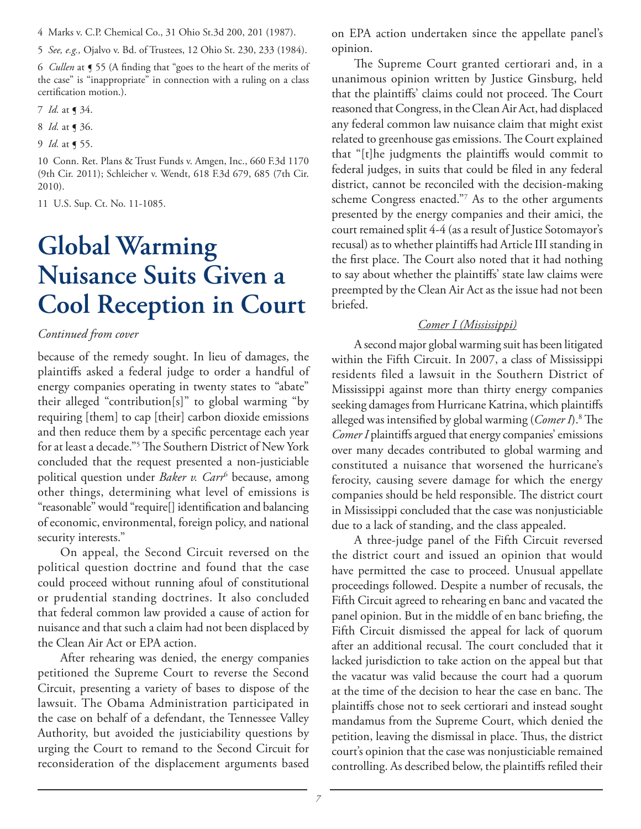4 Marks v. C.P. Chemical Co., 31 Ohio St.3d 200, 201 (1987).

5 *See, e.g.,* Ojalvo v. Bd. of Trustees, 12 Ohio St. 230, 233 (1984).

6 *Cullen* at ¶ 55 (A finding that "goes to the heart of the merits of the case" is "inappropriate" in connection with a ruling on a class certification motion.).

7 *Id.* at ¶ 34.

8 *Id.* at ¶ 36.

9 *Id.* at ¶ 55.

10 Conn. Ret. Plans & Trust Funds v. Amgen, Inc., 660 F.3d 1170 (9th Cir. 2011); Schleicher v. Wendt, 618 F.3d 679, 685 (7th Cir. 2010).

11 U.S. Sup. Ct. No. 11-1085.

# **Global Warming Nuisance Suits Given a Cool Reception in Court**

### *Continued from cover*

because of the remedy sought. In lieu of damages, the plaintiffs asked a federal judge to order a handful of energy companies operating in twenty states to "abate" their alleged "contribution[s]" to global warming "by requiring [them] to cap [their] carbon dioxide emissions and then reduce them by a specific percentage each year for at least a decade."5 The Southern District of New York concluded that the request presented a non-justiciable political question under *Baker v. Carr*<sup>6</sup> because, among other things, determining what level of emissions is "reasonable" would "require[] identification and balancing of economic, environmental, foreign policy, and national security interests."

On appeal, the Second Circuit reversed on the political question doctrine and found that the case could proceed without running afoul of constitutional or prudential standing doctrines. It also concluded that federal common law provided a cause of action for nuisance and that such a claim had not been displaced by the Clean Air Act or EPA action.

After rehearing was denied, the energy companies petitioned the Supreme Court to reverse the Second Circuit, presenting a variety of bases to dispose of the lawsuit. The Obama Administration participated in the case on behalf of a defendant, the Tennessee Valley Authority, but avoided the justiciability questions by urging the Court to remand to the Second Circuit for reconsideration of the displacement arguments based

on EPA action undertaken since the appellate panel's opinion.

The Supreme Court granted certiorari and, in a unanimous opinion written by Justice Ginsburg, held that the plaintiffs' claims could not proceed. The Court reasoned that Congress, in the Clean Air Act, had displaced any federal common law nuisance claim that might exist related to greenhouse gas emissions. The Court explained that "[t]he judgments the plaintiffs would commit to federal judges, in suits that could be filed in any federal district, cannot be reconciled with the decision-making scheme Congress enacted."7 As to the other arguments presented by the energy companies and their amici, the court remained split 4-4 (as a result of Justice Sotomayor's recusal) as to whether plaintiffs had Article III standing in the first place. The Court also noted that it had nothing to say about whether the plaintiffs' state law claims were preempted by the Clean Air Act as the issue had not been briefed.

### *Comer I (Mississippi)*

A second major global warming suit has been litigated within the Fifth Circuit. In 2007, a class of Mississippi residents filed a lawsuit in the Southern District of Mississippi against more than thirty energy companies seeking damages from Hurricane Katrina, which plaintiffs alleged was intensified by global warming (*Comer I*).8 The *ComerI* plaintiffs argued that energy companies' emissions over many decades contributed to global warming and constituted a nuisance that worsened the hurricane's ferocity, causing severe damage for which the energy companies should be held responsible. The district court in Mississippi concluded that the case was nonjusticiable due to a lack of standing, and the class appealed.

A three-judge panel of the Fifth Circuit reversed the district court and issued an opinion that would have permitted the case to proceed. Unusual appellate proceedings followed. Despite a number of recusals, the Fifth Circuit agreed to rehearing en banc and vacated the panel opinion. But in the middle of en banc briefing, the Fifth Circuit dismissed the appeal for lack of quorum after an additional recusal. The court concluded that it lacked jurisdiction to take action on the appeal but that the vacatur was valid because the court had a quorum at the time of the decision to hear the case en banc. The plaintiffs chose not to seek certiorari and instead sought mandamus from the Supreme Court, which denied the petition, leaving the dismissal in place. Thus, the district court's opinion that the case was nonjusticiable remained controlling. As described below, the plaintiffs refiled their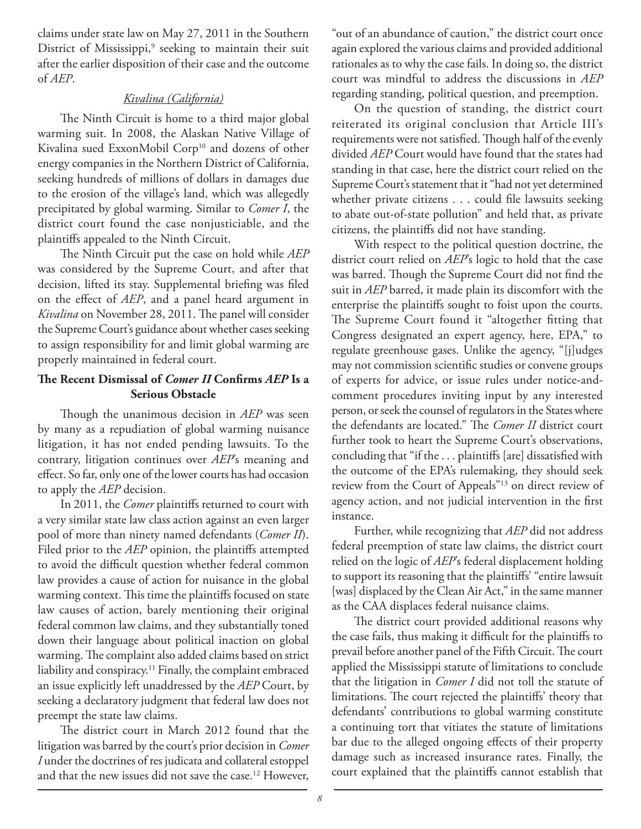claims under state law on May 27, 2011 in the Southern District of Mississippi,<sup>9</sup> seeking to maintain their suit after the earlier disposition of their case and the outcome of *AEP*.

### *Kivalina (California)*

The Ninth Circuit is home to a third major global warming suit. In 2008, the Alaskan Native Village of Kivalina sued ExxonMobil Corp<sup>10</sup> and dozens of other energy companies in the Northern District of California, seeking hundreds of millions of dollars in damages due to the erosion of the village's land, which was allegedly precipitated by global warming. Similar to *Comer I*, the district court found the case nonjusticiable, and the plaintiffs appealed to the Ninth Circuit.

The Ninth Circuit put the case on hold while *AEP* was considered by the Supreme Court, and after that decision, lifted its stay. Supplemental briefing was filed on the effect of *AEP*, and a panel heard argument in *Kivalina* on November 28, 2011. The panel will consider the Supreme Court's guidance about whether cases seeking to assign responsibility for and limit global warming are properly maintained in federal court.

### **The Recent Dismissal of** *Comer II* **Confirms** *AEP* **Is a Serious Obstacle**

Though the unanimous decision in *AEP* was seen by many as a repudiation of global warming nuisance litigation, it has not ended pending lawsuits. To the contrary, litigation continues over *AEP*'s meaning and effect. So far, only one of the lower courts has had occasion to apply the *AEP* decision.

In 2011, the *Comer* plaintiffs returned to court with a very similar state law class action against an even larger pool of more than ninety named defendants (*Comer II*). Filed prior to the *AEP* opinion, the plaintiffs attempted to avoid the difficult question whether federal common law provides a cause of action for nuisance in the global warming context. This time the plaintiffs focused on state law causes of action, barely mentioning their original federal common law claims, and they substantially toned down their language about political inaction on global warming. The complaint also added claims based on strict liability and conspiracy.11 Finally, the complaint embraced an issue explicitly left unaddressed by the *AEP* Court, by seeking a declaratory judgment that federal law does not preempt the state law claims.

The district court in March 2012 found that the litigation was barred by the court's prior decision in *Comer I* under the doctrines of res judicata and collateral estoppel and that the new issues did not save the case.12 However,

"out of an abundance of caution," the district court once again explored the various claims and provided additional rationales as to why the case fails. In doing so, the district court was mindful to address the discussions in *AEP* regarding standing, political question, and preemption.

On the question of standing, the district court reiterated its original conclusion that Article III's requirements were not satisfied. Though half of the evenly divided *AEP* Court would have found that the states had standing in that case, here the district court relied on the Supreme Court's statement that it "had not yet determined whether private citizens . . . could file lawsuits seeking to abate out-of-state pollution" and held that, as private citizens, the plaintiffs did not have standing.

With respect to the political question doctrine, the district court relied on *AEP*'s logic to hold that the case was barred. Though the Supreme Court did not find the suit in *AEP* barred, it made plain its discomfort with the enterprise the plaintiffs sought to foist upon the courts. The Supreme Court found it "altogether fitting that Congress designated an expert agency, here, EPA," to regulate greenhouse gases. Unlike the agency, "[j]udges may not commission scientific studies or convene groups of experts for advice, or issue rules under notice-andcomment procedures inviting input by any interested person, or seek the counsel of regulators in the States where the defendants are located." The *Comer II* district court further took to heart the Supreme Court's observations, concluding that "if the . . . plaintiffs [are] dissatisfied with the outcome of the EPA's rulemaking, they should seek review from the Court of Appeals"13 on direct review of agency action, and not judicial intervention in the first instance.

Further, while recognizing that *AEP* did not address federal preemption of state law claims, the district court relied on the logic of *AEP*'s federal displacement holding to support its reasoning that the plaintiffs' "entire lawsuit [was] displaced by the Clean Air Act," in the same manner as the CAA displaces federal nuisance claims.

The district court provided additional reasons why the case fails, thus making it difficult for the plaintiffs to prevail before another panel of the Fifth Circuit. The court applied the Mississippi statute of limitations to conclude that the litigation in *Comer I* did not toll the statute of limitations. The court rejected the plaintiffs' theory that defendants' contributions to global warming constitute a continuing tort that vitiates the statute of limitations bar due to the alleged ongoing effects of their property damage such as increased insurance rates. Finally, the court explained that the plaintiffs cannot establish that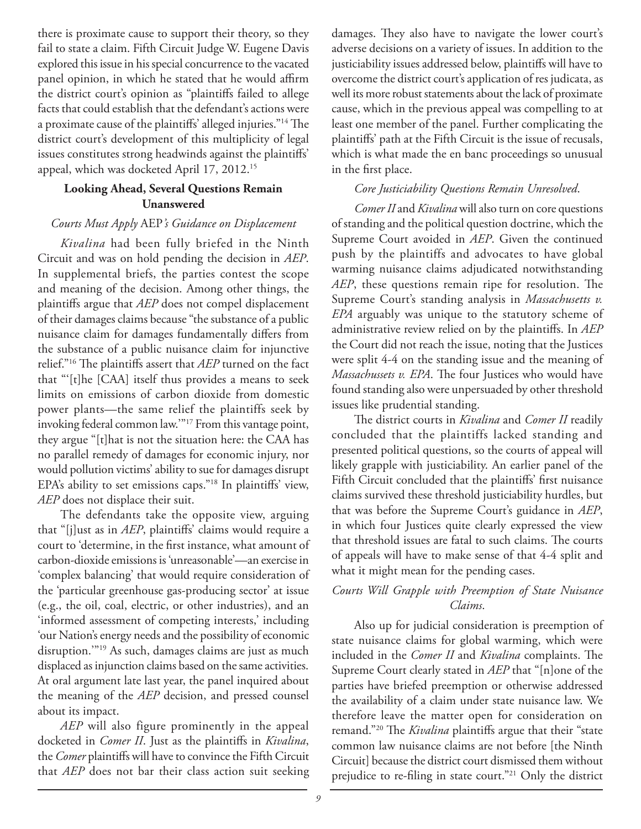there is proximate cause to support their theory, so they fail to state a claim. Fifth Circuit Judge W. Eugene Davis explored this issue in his special concurrence to the vacated panel opinion, in which he stated that he would affirm the district court's opinion as "plaintiffs failed to allege facts that could establish that the defendant's actions were a proximate cause of the plaintiffs' alleged injuries."14 The district court's development of this multiplicity of legal issues constitutes strong headwinds against the plaintiffs' appeal, which was docketed April 17, 2012.15

### **Looking Ahead, Several Questions Remain Unanswered**

### *Courts Must Apply* AEP*'s Guidance on Displacement*

*Kivalina* had been fully briefed in the Ninth Circuit and was on hold pending the decision in *AEP*. In supplemental briefs, the parties contest the scope and meaning of the decision. Among other things, the plaintiffs argue that *AEP* does not compel displacement of their damages claims because "the substance of a public nuisance claim for damages fundamentally differs from the substance of a public nuisance claim for injunctive relief."16 The plaintiffs assert that *AEP* turned on the fact that "'[t]he [CAA] itself thus provides a means to seek limits on emissions of carbon dioxide from domestic power plants—the same relief the plaintiffs seek by invoking federal common law.'"17 From this vantage point, they argue "[t]hat is not the situation here: the CAA has no parallel remedy of damages for economic injury, nor would pollution victims' ability to sue for damages disrupt EPA's ability to set emissions caps."18 In plaintiffs' view, *AEP* does not displace their suit.

The defendants take the opposite view, arguing that "[j]ust as in *AEP*, plaintiffs' claims would require a court to 'determine, in the first instance, what amount of carbon-dioxide emissions is 'unreasonable'—an exercise in 'complex balancing' that would require consideration of the 'particular greenhouse gas-producing sector' at issue (e.g., the oil, coal, electric, or other industries), and an 'informed assessment of competing interests,' including 'our Nation's energy needs and the possibility of economic disruption.'"19 As such, damages claims are just as much displaced as injunction claims based on the same activities. At oral argument late last year, the panel inquired about the meaning of the *AEP* decision, and pressed counsel about its impact.

*AEP* will also figure prominently in the appeal docketed in *Comer II*. Just as the plaintiffs in *Kivalina*, the *Comer* plaintiffs will have to convince the Fifth Circuit that *AEP* does not bar their class action suit seeking damages. They also have to navigate the lower court's adverse decisions on a variety of issues. In addition to the justiciability issues addressed below, plaintiffs will have to overcome the district court's application of res judicata, as well its more robust statements about the lack of proximate cause, which in the previous appeal was compelling to at least one member of the panel. Further complicating the plaintiffs' path at the Fifth Circuit is the issue of recusals, which is what made the en banc proceedings so unusual in the first place.

### *Core Justiciability Questions Remain Unresolved*.

*Comer II* and *Kivalina* will also turn on core questions of standing and the political question doctrine, which the Supreme Court avoided in *AEP*. Given the continued push by the plaintiffs and advocates to have global warming nuisance claims adjudicated notwithstanding *AEP*, these questions remain ripe for resolution. The Supreme Court's standing analysis in *Massachusetts v. EPA* arguably was unique to the statutory scheme of administrative review relied on by the plaintiffs. In *AEP* the Court did not reach the issue, noting that the Justices were split 4-4 on the standing issue and the meaning of *Massachussets v. EPA*. The four Justices who would have found standing also were unpersuaded by other threshold issues like prudential standing.

The district courts in *Kivalina* and *Comer II* readily concluded that the plaintiffs lacked standing and presented political questions, so the courts of appeal will likely grapple with justiciability. An earlier panel of the Fifth Circuit concluded that the plaintiffs' first nuisance claims survived these threshold justiciability hurdles, but that was before the Supreme Court's guidance in *AEP*, in which four Justices quite clearly expressed the view that threshold issues are fatal to such claims. The courts of appeals will have to make sense of that 4-4 split and what it might mean for the pending cases.

### *Courts Will Grapple with Preemption of State Nuisance Claims*.

Also up for judicial consideration is preemption of state nuisance claims for global warming, which were included in the *Comer II* and *Kivalina* complaints. The Supreme Court clearly stated in *AEP* that "[n]one of the parties have briefed preemption or otherwise addressed the availability of a claim under state nuisance law. We therefore leave the matter open for consideration on remand."20 The *Kivalina* plaintiffs argue that their "state common law nuisance claims are not before [the Ninth Circuit] because the district court dismissed them without prejudice to re-filing in state court."21 Only the district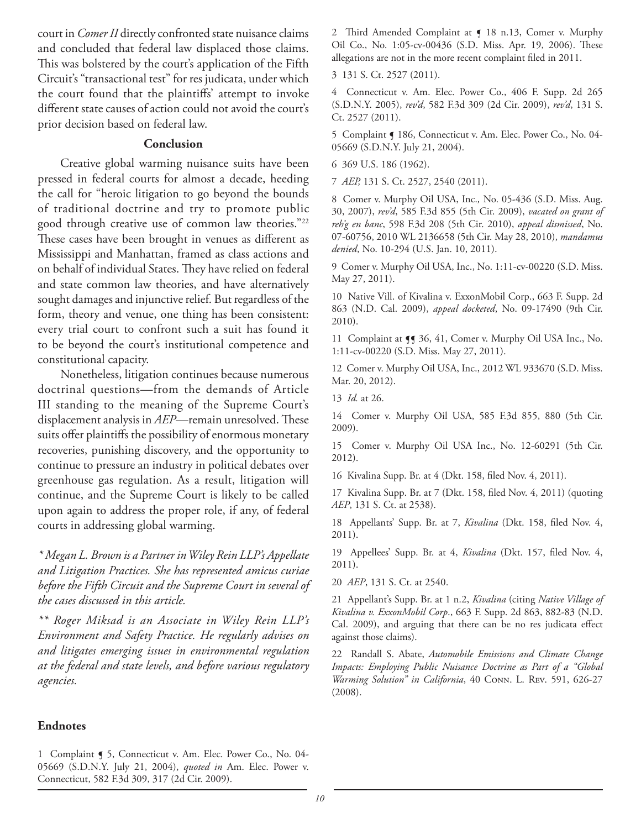court in *Comer II* directly confronted state nuisance claims and concluded that federal law displaced those claims. This was bolstered by the court's application of the Fifth Circuit's "transactional test" for res judicata, under which the court found that the plaintiffs' attempt to invoke different state causes of action could not avoid the court's prior decision based on federal law.

### **Conclusion**

Creative global warming nuisance suits have been pressed in federal courts for almost a decade, heeding the call for "heroic litigation to go beyond the bounds of traditional doctrine and try to promote public good through creative use of common law theories."22 These cases have been brought in venues as different as Mississippi and Manhattan, framed as class actions and on behalf of individual States. They have relied on federal and state common law theories, and have alternatively sought damages and injunctive relief. But regardless of the form, theory and venue, one thing has been consistent: every trial court to confront such a suit has found it to be beyond the court's institutional competence and constitutional capacity.

Nonetheless, litigation continues because numerous doctrinal questions—from the demands of Article III standing to the meaning of the Supreme Court's displacement analysis in *AEP*—remain unresolved. These suits offer plaintiffs the possibility of enormous monetary recoveries, punishing discovery, and the opportunity to continue to pressure an industry in political debates over greenhouse gas regulation. As a result, litigation will continue, and the Supreme Court is likely to be called upon again to address the proper role, if any, of federal courts in addressing global warming.

*\* Megan L. Brown is a Partner in Wiley Rein LLP's Appellate and Litigation Practices. She has represented amicus curiae before the Fifth Circuit and the Supreme Court in several of the cases discussed in this article.*

*\*\* Roger Miksad is an Associate in Wiley Rein LLP's Environment and Safety Practice. He regularly advises on and litigates emerging issues in environmental regulation at the federal and state levels, and before various regulatory agencies.*

### **Endnotes**

1 Complaint  $\sim$  5, Connecticut v. Am. Elec. Power Co., No. 04-05669 (S.D.N.Y. July 21, 2004), *quoted in* Am. Elec. Power v. Connecticut, 582 F.3d 309, 317 (2d Cir. 2009).

2 Third Amended Complaint at  $\int$  18 n.13, Comer v. Murphy Oil Co., No. 1:05-cv-00436 (S.D. Miss. Apr. 19, 2006). These allegations are not in the more recent complaint filed in 2011.

3 131 S. Ct. 2527 (2011).

4 Connecticut v. Am. Elec. Power Co., 406 F. Supp. 2d 265 (S.D.N.Y. 2005), *rev'd*, 582 F.3d 309 (2d Cir. 2009), *rev'd*, 131 S. Ct. 2527 (2011).

5 Complaint ¶ 186, Connecticut v. Am. Elec. Power Co., No. 04-05669 (S.D.N.Y. July 21, 2004).

6 369 U.S. 186 (1962).

7 *AEP,* 131 S. Ct. 2527, 2540 (2011).

8 Comer v. Murphy Oil USA, Inc.*,* No. 05-436 (S.D. Miss. Aug. 30, 2007), *rev'd*, 585 F.3d 855 (5th Cir. 2009), *vacated on grant of reh'g en banc*, 598 F.3d 208 (5th Cir. 2010), *appeal dismissed*, No. 07-60756, 2010 WL 2136658 (5th Cir. May 28, 2010), *mandamus denied*, No. 10-294 (U.S. Jan. 10, 2011).

9 Comer v. Murphy Oil USA, Inc., No. 1:11-cv-00220 (S.D. Miss. May 27, 2011).

10 Native Vill. of Kivalina v. ExxonMobil Corp., 663 F. Supp. 2d 863 (N.D. Cal. 2009), *appeal docketed*, No. 09-17490 (9th Cir. 2010).

11 Complaint at  $\P$  36, 41, Comer v. Murphy Oil USA Inc., No. 1:11-cv-00220 (S.D. Miss. May 27, 2011).

12 Comer v. Murphy Oil USA, Inc., 2012 WL 933670 (S.D. Miss. Mar. 20, 2012).

13 *Id.* at 26.

14 Comer v. Murphy Oil USA, 585 F.3d 855, 880 (5th Cir. 2009).

15 Comer v. Murphy Oil USA Inc., No. 12-60291 (5th Cir. 2012).

16 Kivalina Supp. Br. at 4 (Dkt. 158, filed Nov. 4, 2011).

17 Kivalina Supp. Br. at 7 (Dkt. 158, filed Nov. 4, 2011) (quoting *AEP*, 131 S. Ct. at 2538).

18 Appellants' Supp. Br. at 7, *Kivalina* (Dkt. 158, filed Nov. 4, 2011).

19 Appellees' Supp. Br. at 4, *Kivalina* (Dkt. 157, filed Nov. 4, 2011).

20 *AEP*, 131 S. Ct. at 2540.

21 Appellant's Supp. Br. at 1 n.2, *Kivalina* (citing *Native Village of Kivalina v. ExxonMobil Corp*., 663 F. Supp. 2d 863, 882-83 (N.D. Cal. 2009), and arguing that there can be no res judicata effect against those claims).

22 Randall S. Abate, *Automobile Emissions and Climate Change Impacts: Employing Public Nuisance Doctrine as Part of a "Global Warming Solution" in California*, 40 Conn. L. Rev. 591, 626-27 (2008).